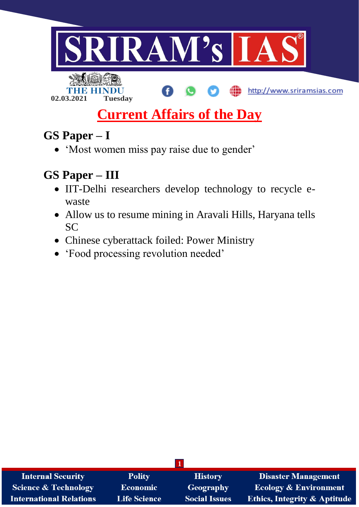

# **Current Affairs of the Day**

# **GS Paper – I**

'Most women miss pay raise due to gender'

# **GS Paper – III**

- IIT-Delhi researchers develop technology to recycle ewaste
- Allow us to resume mining in Aravali Hills, Haryana tells SC
- Chinese cyberattack foiled: Power Ministry
- 'Food processing revolution needed'

| <b>Internal Security</b>       | <b>Polity</b>       | <b>History</b>       | <b>Disaster Management</b>              |
|--------------------------------|---------------------|----------------------|-----------------------------------------|
| Science & Technology           | <b>Economic</b>     | Geography            | <b>Ecology &amp; Environment</b>        |
| <b>International Relations</b> | <b>Life Science</b> | <b>Social Issues</b> | <b>Ethics, Integrity &amp; Aptitude</b> |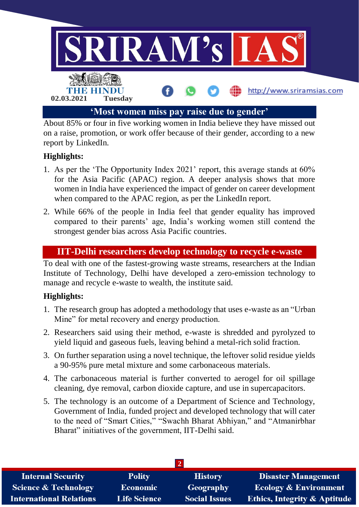

About 85% or four in five working women in India believe they have missed out on a raise, promotion, or work offer because of their gender, according to a new report by LinkedIn.

# **Highlights:**

- 1. As per the 'The Opportunity Index 2021' report, this average stands at 60% for the Asia Pacific (APAC) region. A deeper analysis shows that more women in India have experienced the impact of gender on career development when compared to the APAC region, as per the LinkedIn report.
- 2. While 66% of the people in India feel that gender equality has improved compared to their parents' age, India's working women still contend the strongest gender bias across Asia Pacific countries.

#### **IIT-Delhi researchers develop technology to recycle e-waste**

To deal with one of the fastest-growing waste streams, researchers at the Indian Institute of Technology, Delhi have developed a zero-emission technology to manage and recycle e-waste to wealth, the institute said.

### **Highlights:**

- 1. The research group has adopted a methodology that uses e-waste as an "Urban Mine" for metal recovery and energy production.
- 2. Researchers said using their method, e-waste is shredded and pyrolyzed to yield liquid and gaseous fuels, leaving behind a metal-rich solid fraction.
- 3. On further separation using a novel technique, the leftover solid residue yields a 90-95% pure metal mixture and some carbonaceous materials.
- 4. The carbonaceous material is further converted to aerogel for oil spillage cleaning, dye removal, carbon dioxide capture, and use in supercapacitors.
- 5. The technology is an outcome of a Department of Science and Technology, Government of India, funded project and developed technology that will cater to the need of "Smart Cities," "Swachh Bharat Abhiyan," and "Atmanirbhar Bharat" initiatives of the government, IIT-Delhi said.

| <b>Internal Security</b>        | <b>Polity</b>       | <b>History</b>       | <b>Disaster Management</b>              |
|---------------------------------|---------------------|----------------------|-----------------------------------------|
| <b>Science &amp; Technology</b> | <b>Economic</b>     | Geography            | <b>Ecology &amp; Environment</b>        |
| <b>International Relations</b>  | <b>Life Science</b> | <b>Social Issues</b> | <b>Ethics, Integrity &amp; Aptitude</b> |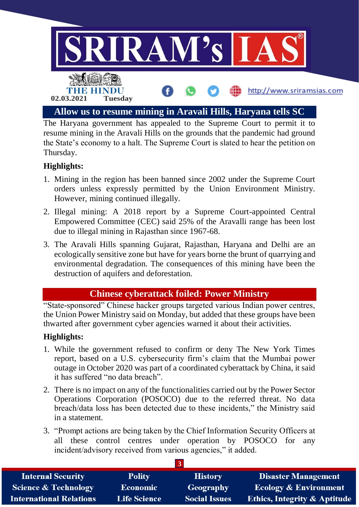

The Haryana government has appealed to the Supreme Court to permit it to resume mining in the Aravali Hills on the grounds that the pandemic had ground the State's economy to a halt. The Supreme Court is slated to hear the petition on Thursday.

# **Highlights:**

- 1. Mining in the region has been banned since 2002 under the Supreme Court orders unless expressly permitted by the Union Environment Ministry. However, mining continued illegally.
- 2. Illegal mining: A 2018 report by a Supreme Court-appointed Central Empowered Committee (CEC) said 25% of the Aravalli range has been lost due to illegal mining in Rajasthan since 1967-68.
- 3. The Aravali Hills spanning Gujarat, Rajasthan, Haryana and Delhi are an ecologically sensitive zone but have for years borne the brunt of quarrying and environmental degradation. The consequences of this mining have been the destruction of aquifers and deforestation.

### **Chinese cyberattack foiled: Power Ministry**

"State-sponsored" Chinese hacker groups targeted various Indian power centres, the Union Power Ministry said on Monday, but added that these groups have been thwarted after government cyber agencies warned it about their activities.

### **Highlights:**

- 1. While the government refused to confirm or deny The New York Times report, based on a U.S. cybersecurity firm's claim that the Mumbai power outage in October 2020 was part of a coordinated cyberattack by China, it said it has suffered "no data breach".
- 2. There is no impact on any of the functionalities carried out by the Power Sector Operations Corporation (POSOCO) due to the referred threat. No data breach/data loss has been detected due to these incidents," the Ministry said in a statement.
- 3. "Prompt actions are being taken by the Chief Information Security Officers at all these control centres under operation by POSOCO for any incident/advisory received from various agencies," it added.

| <b>Internal Security</b>        | <b>Polity</b>       | <b>History</b>       | <b>Disaster Management</b>              |
|---------------------------------|---------------------|----------------------|-----------------------------------------|
| <b>Science &amp; Technology</b> | <b>Economic</b>     | Geography            | <b>Ecology &amp; Environment</b>        |
| <b>International Relations</b>  | <b>Life Science</b> | <b>Social Issues</b> | <b>Ethics, Integrity &amp; Aptitude</b> |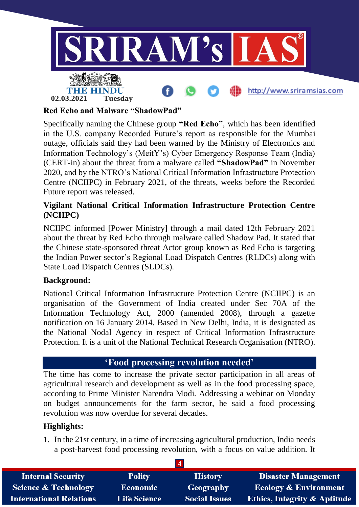

#### **Red Echo and Malware "ShadowPad"**

Specifically naming the Chinese group **"Red Echo"**, which has been identified in the U.S. company Recorded Future's report as responsible for the Mumbai outage, officials said they had been warned by the Ministry of Electronics and Information Technology's (MeitY's) Cyber Emergency Response Team (India) (CERT-in) about the threat from a malware called **"ShadowPad"** in November 2020, and by the NTRO's National Critical Information Infrastructure Protection Centre (NCIIPC) in February 2021, of the threats, weeks before the Recorded Future report was released.

#### **Vigilant National Critical Information Infrastructure Protection Centre (NCIIPC)**

NCIIPC informed [Power Ministry] through a mail dated 12th February 2021 about the threat by Red Echo through malware called Shadow Pad. It stated that the Chinese state-sponsored threat Actor group known as Red Echo is targeting the Indian Power sector's Regional Load Dispatch Centres (RLDCs) along with State Load Dispatch Centres (SLDCs).

#### **Background:**

National Critical Information Infrastructure Protection Centre (NCIIPC) is an organisation of the Government of India created under Sec 70A of the Information Technology Act, 2000 (amended 2008), through a gazette notification on 16 January 2014. Based in New Delhi, India, it is designated as the National Nodal Agency in respect of Critical Information Infrastructure Protection. It is a unit of the National Technical Research Organisation (NTRO).

### **'Food processing revolution needed'**

The time has come to increase the private sector participation in all areas of agricultural research and development as well as in the food processing space, according to Prime Minister Narendra Modi. Addressing a webinar on Monday on budget announcements for the farm sector, he said a food processing revolution was now overdue for several decades.

#### **Highlights:**

1. In the 21st century, in a time of increasing agricultural production, India needs a post-harvest food processing revolution, with a focus on value addition. It

| <b>Internal Security</b>        | <b>Polity</b>       | <b>History</b>       | <b>Disaster Management</b>              |
|---------------------------------|---------------------|----------------------|-----------------------------------------|
| <b>Science &amp; Technology</b> | <b>Economic</b>     | Geography            | <b>Ecology &amp; Environment</b>        |
| <b>International Relations</b>  | <b>Life Science</b> | <b>Social Issues</b> | <b>Ethics, Integrity &amp; Aptitude</b> |